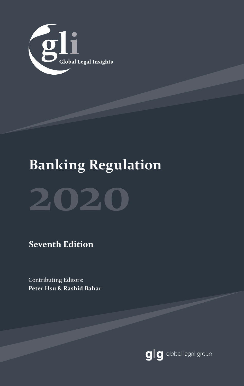

# **Banking Regulation**



**Seventh Edition**

Contributing Editors: **Peter Hsu & Rashid Bahar**

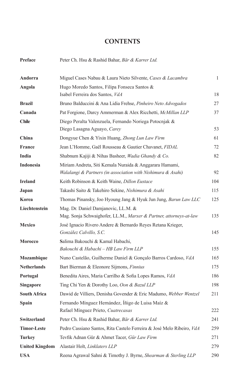### **CONTENTS**

| Preface               | Peter Ch. Hsu & Rashid Bahar, Bär & Karrer Ltd.                                                                         |              |
|-----------------------|-------------------------------------------------------------------------------------------------------------------------|--------------|
| Andorra               | Miguel Cases Nabau & Laura Nieto Silvente, Cases & Lacambra                                                             | $\mathbf{1}$ |
| Angola                | Hugo Moredo Santos, Filipa Fonseca Santos &                                                                             |              |
|                       | Isabel Ferreira dos Santos, VdA                                                                                         | 18           |
| <b>Brazil</b>         | Bruno Balduccini & Ana Lidia Frehse, Pinheiro Neto Advogados                                                            | 27           |
| Canada                | Pat Forgione, Darcy Ammerman & Alex Ricchetti, McMillan LLP                                                             | 37           |
| <b>Chile</b>          | Diego Peralta Valenzuela, Fernando Noriega Potocnjak &<br>Diego Lasagna Aguayo, Carey                                   | 53           |
| China                 | Dongyue Chen & Yixin Huang, Zhong Lun Law Firm                                                                          | 61           |
| <b>France</b>         | Jean L'Homme, Gaël Rousseau & Gautier Chavanet, FIDAL                                                                   | 72           |
| India                 | Shabnum Kajiji & Nihas Basheer, <i>Wadia Ghandy &amp; Co.</i>                                                           | 82           |
| <b>Indonesia</b>      | Miriam Andreta, Siti Kemala Nuraida & Anggarara Hamami,<br>Walalangi & Partners (in association with Nishimura & Asahi) | 92           |
| <b>Ireland</b>        | Keith Robinson & Keith Waine, Dillon Eustace                                                                            | 104          |
| Japan                 | Takashi Saito & Takehiro Sekine, Nishimura & Asahi                                                                      | 115          |
| Korea                 | Thomas Pinansky, Joo Hyoung Jang & Hyuk Jun Jung, Barun Law LLC                                                         | 125          |
| Liechtenstein         | Mag. Dr. Daniel Damjanovic, LL.M. &<br>Mag. Sonja Schwaighofer, LL.M., Marxer & Partner, attorneys-at-law               | 135          |
| <b>Mexico</b>         | José Ignacio Rivero Andere & Bernardo Reyes Retana Krieger,<br>González Calvillo, S.C.                                  | 145          |
| <b>Morocco</b>        | Salima Bakouchi & Kamal Habachi,<br>Bakouchi & Habachi - HB Law Firm LLP                                                | 155          |
| Mozambique            | Nuno Castelão, Guilherme Daniel & Gonçalo Barros Cardoso, VdA                                                           | 165          |
| <b>Netherlands</b>    | Bart Bierman & Eleonore Sijmons, Finnius                                                                                | 175          |
| Portugal              | Benedita Aires, Maria Carrilho & Sofia Lopes Ramos, VdA                                                                 | 186          |
| <b>Singapore</b>      | Ting Chi Yen & Dorothy Loo, Oon & Bazul LLP                                                                             | 198          |
| <b>South Africa</b>   | Dawid de Villiers, Denisha Govender & Eric Madumo, Webber Wentzel                                                       | 211          |
| Spain                 | Fernando Mínguez Hernández, Íñigo de Luisa Maíz &                                                                       |              |
|                       | Rafael Mínguez Prieto, Cuatrecasas                                                                                      | 222          |
| Switzerland           | Peter Ch. Hsu & Rashid Bahar, Bär & Karrer Ltd.                                                                         | 241          |
| <b>Timor-Leste</b>    | Pedro Cassiano Santos, Rita Castelo Ferreira & José Melo Ribeiro, VdA                                                   | 259          |
| <b>Turkey</b>         | Tevfik Adnan Gür & Ahmet Tacer, Gür Law Firm                                                                            | 271          |
| <b>United Kingdom</b> | Alastair Holt, Linklaters LLP                                                                                           | 279          |
| <b>USA</b>            | Reena Agrawal Sahni & Timothy J. Byrne, Shearman & Sterling LLP                                                         | 290          |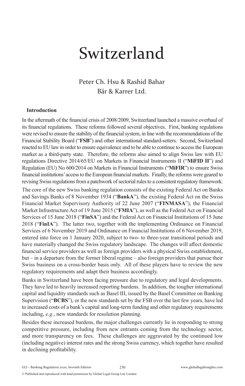# Switzerland

## Peter Ch. Hsu & Rashid Bahar Bär & Karrer Ltd.

#### **Introduction**

In the aftermath of the financial crisis of 2008/2009, Switzerland launched a massive overhaul of its financial regulations. These reforms followed several objectives. First, banking regulations were revised to ensure the stability of the financial system, in line with the recommendations of the Financial Stability Board ("**FSB**") and other international standard-setters. Second, Switzerland reacted to EU law in order to ensure equivalence and to be able to continue to access the European market as a third-party state. Therefore, the reforms also aimed to align Swiss law with EU regulations Directive 2014/65/EU on Markets in Financial Instruments II ("**MiFID II**") and Regulation (EU) No 600/2014 on Markets in Financial Instruments ("**MiFIR**") to ensure Swiss financial institutions' access to the European financial markets. Finally, the reforms were geared to revising Swiss regulations from a patchwork of sectorial rules to a consistent regulatory framework.

The core of the new Swiss banking regulation consists of the existing Federal Act on Banks and Savings Banks of 8 November 1934 ("**BankA**"), the existing Federal Act on the Swiss Financial Market Supervisory Authority of 22 June 2007 ("**FINMASA**"), the Financial Market Infrastructure Act of 19 June 2015 ("**FMIA**"), as well as the Federal Act on Financial Services of 15 June 2018 ("**FinSA**") and the Federal Act on Financial Institutions of 15 June 2018 ("**FinIA**"). The latter two, together with the implementing Ordinance on Financial Services of 6 November 2019 and Ordinance on Financial Institutions of 6 November 2019, entered into force on 1 January 2020, subject to two- to three-year transitional periods and have materially changed the Swiss regulatory landscape. The changes will affect domestic financial service providers as well as foreign providers with a physical Swiss establishment, but – in a departure from the former liberal regime – also foreign providers that pursue their Swiss business on a cross-border basis only. All of these players have to review the new regulatory requirements and adapt their business accordingly.

Banks in Switzerland have been facing pressure due to regulatory and legal developments. They have led to heavily increased reporting burdens. In addition, the tougher international capital and liquidity standards such as Basel III, issued by the Basel Committee on Banking Supervision ("**BCBS**"), or the new standards set by the FSB over the last few years, have led to increased costs of a bank's capital and long-term funding and other regulatory requirements including, *e.g.*, new standards for resolution planning.

Besides these increased burdens, the major challenges currently lie in responding to strong competitive pressure, including from new entrants coming from the technology sector, and more transparency on fees. These challenges are aggravated by the continued low (including negative) interest rates and the strong Swiss currency, which together have resulted in declining profitability.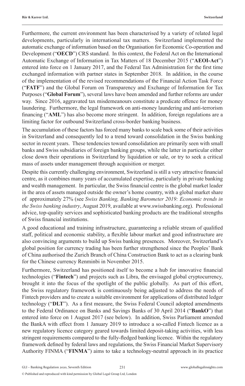Furthermore, the current environment has been characterised by a variety of related legal developments, particularly in international tax matters. Switzerland implemented the automatic exchange of information based on the Organisation for Economic Co-operation and Development ("**OECD**") CRS standard. In this context, the Federal Act on the International Automatic Exchange of Information in Tax Matters of 18 December 2015 ("**AEOI-Act**") entered into force on 1 January 2017, and the Federal Tax Administration for the first time exchanged information with partner states in September 2018. In addition, in the course of the implementation of the revised recommendations of the Financial Action Task Force ("**FATF**") and the Global Forum on Transparency and Exchange of Information for Tax Purposes ("**Global Forum**"), several laws have been amended and further reforms are under way. Since 2016, aggravated tax misdemeanours constitute a predicate offence for money laundering. Furthermore, the legal framework on anti-money laundering and anti-terrorism financing ("**AML**") has also become more stringent. In addition, foreign regulations are a limiting factor for outbound Switzerland cross-border banking business.

The accumulation of these factors has forced many banks to scale back some of their activities in Switzerland and consequently led to a trend toward consolidation in the Swiss banking sector in recent years. These tendencies toward consolidation are primarily seen with small banks and Swiss subsidiaries of foreign banking groups, while the latter in particular either close down their operations in Switzerland by liquidation or sale, or try to seek a critical mass of assets under management through acquisition or merger.

Despite this currently challenging environment, Switzerland is still a very attractive financial centre, as it combines many years of accumulated expertise, particularly in private banking and wealth management. In particular, the Swiss financial centre is the global market leader in the area of assets managed outside the owner's home country, with a global market share of approximately 27% (see *Swiss Banking, Banking Barometer 2019: Economic trends in the Swiss banking industry*, August 2019, available at www.swissbanking.org). Professional advice, top-quality services and sophisticated banking products are the traditional strengths of Swiss financial institutions.

A good educational and training infrastructure, guaranteeing a reliable stream of qualified staff, political and economic stability, a flexible labour market and good infrastructure are also convincing arguments to build up Swiss banking presences. Moreover, Switzerland's global position for currency trading has been further strengthened since the Peoples' Bank of China authorised the Zurich Branch of China Construction Bank to act as a clearing bank for the Chinese currency Renminbi in November 2015.

Furthermore, Switzerland has positioned itself to become a hub for innovative financial technologies ("**Fintech**") and projects such as Libra, the envisaged global cryptocurrency, brought it into the focus of the spotlight of the public globally. As part of this effort, the Swiss regulatory framework is continuously being adjusted to address the needs of Fintech providers and to create a suitable environment for applications of distributed ledger technology ("**DLT**"). As a first measure, the Swiss Federal Council adopted amendments to the Federal Ordinance on Banks and Savings Banks of 30 April 2014 ("**BankO**") that entered into force on 1 August 2017 (see below). In addition, Swiss Parliament amended the BankA with effect from 1 January 2019 to introduce a so-called Fintech licence as a new regulatory licence category geared towards limited deposit-taking activities, with less stringent requirements compared to the fully-fledged banking licence. Within the regulatory framework defined by federal laws and regulations, the Swiss Financial Market Supervisory Authority FINMA ("**FINMA**") aims to take a technology-neutral approach in its practice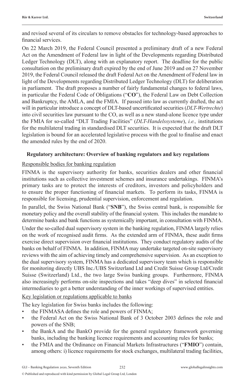and revised several of its circulars to remove obstacles for technology-based approaches to financial services.

On 22 March 2019, the Federal Council presented a preliminary draft of a new Federal Act on the Amendment of Federal law in light of the Developments regarding Distributed Ledger Technology (DLT), along with an explanatory report. The deadline for the public consultation on the preliminary draft expired by the end of June 2019 and on 27 November 2019, the Federal Council released the draft Federal Act on the Amendment of Federal law in light of the Developments regarding Distributed Ledger Technology (DLT) for deliberation in parliament. The draft proposes a number of fairly fundamental changes to federal laws, in particular the Federal Code of Obligations ("**CO**"), the Federal Law on Debt Collection and Bankruptcy, the AMLA, and the FMIA. If passed into law as currently drafted, the act will in particular introduce a concept of DLT-based uncertificated securities (*DLT-Wertrechte*) into civil securities law pursuant to the CO, as well as a new stand-alone licence type under the FMIA for so-called "DLT Trading Facilities" (*DLT-Handelssysteme*), *i.e.,* institutions for the multilateral trading in standardised DLT securities. It is expected that the draft DLT legislation is bound for an accelerated legislative process with the goal to finalise and enact the amended rules by the end of 2020.

#### **Regulatory architecture: Overview of banking regulators and key regulations**

#### Responsible bodies for banking regulation

FINMA is the supervisory authority for banks, securities dealers and other financial institutions such as collective investment schemes and insurance undertakings. FINMA's primary tasks are to protect the interests of creditors, investors and policyholders and to ensure the proper functioning of financial markets. To perform its tasks, FINMA is responsible for licensing, prudential supervision, enforcement and regulation.

In parallel, the Swiss National Bank ("**SNB**"), the Swiss central bank, is responsible for monetary policy and the overall stability of the financial system. This includes the mandate to determine banks and bank functions as systemically important, in consultation with FINMA.

Under the so-called dual supervisory system in the banking regulation, FINMA largely relies on the work of recognised audit firms. As the extended arm of FINMA, these audit firms exercise direct supervision over financial institutions. They conduct regulatory audits of the banks on behalf of FINMA. In addition, FINMA may undertake targeted on-site supervisory reviews with the aim of achieving timely and comprehensive supervision. As an exception to the dual supervisory system, FINMA has a dedicated supervisory team which is responsible for monitoring directly UBS Inc./UBS Switzerland Ltd and Credit Suisse Group Ltd/Credit Suisse (Switzerland) Ltd., the two large Swiss banking groups. Furthermore, FINMA also increasingly performs on-site inspections and takes "deep dives" in selected financial intermediaries to get a better understanding of the inner workings of supervised entities.

Key legislation or regulations applicable to banks

The key legislation for Swiss banks includes the following:

- the FINMASA defines the role and powers of FINMA;
- the Federal Act on the Swiss National Bank of 3 October 2003 defines the role and powers of the SNB;
- the BankA and the BankO provide for the general regulatory framework governing banks, including the banking licence requirements and accounting rules for banks;
- the FMIA and the Ordinance on Financial Markets Infrastructures ("**FMIO**") contain, among others: i) licence requirements for stock exchanges, multilateral trading facilities,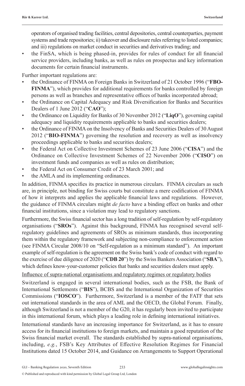operators of organised trading facilities, central depositories, central counterparties, payment systems and trade repositories; ii) takeover and disclosure rules referring to listed companies; and iii) regulations on market conduct in securities and derivatives trading; and

• the FinSA, which is being phased-in, provides for rules of conduct for all financial service providers, including banks, as well as rules on prospectus and key information documents for certain financial instruments.

Further important regulations are:

- the Ordinance of FINMA on Foreign Banks in Switzerland of 21 October 1996 ("**FBO-FINMA**"), which provides for additional requirements for banks controlled by foreign persons as well as branches and representative offices of banks incorporated abroad;
- the Ordinance on Capital Adequacy and Risk Diversification for Banks and Securities Dealers of 1 June 2012 ("**CAO**");
- the Ordinance on Liquidity for Banks of 30 November 2012 ("**LiqO**"), governing capital adequacy and liquidity requirements applicable to banks and securities dealers;
- the Ordinance of FINMA on the Insolvency of Banks and Securities Dealers of 30 August 2012 ("**BIO-FINMA**") governing the resolution and recovery as well as insolvency proceedings applicable to banks and securities dealers;
- the Federal Act on Collective Investment Schemes of 23 June 2006 ("**CISA**") and the Ordinance on Collective Investment Schemes of 22 November 2006 ("**CISO**") on investment funds and companies as well as rules on distribution;
- the Federal Act on Consumer Credit of 23 March 2001; and
- the AMLA and its implementing ordinances.

In addition, FINMA specifies its practice in numerous circulars. FINMA circulars as such are, in principle, not binding for Swiss courts but constitute a mere codification of FINMA of how it interprets and applies the applicable financial laws and regulations. However, the guidance of FINMA circulars might *de facto* have a binding effect on banks and other financial institutions, since a violation may lead to regulatory sanctions.

Furthermore, the Swiss financial sector has a long tradition of self-regulation by self-regulatory organisations ("**SROs**"). Against this background, FINMA has recognised several selfregulatory guidelines and agreements of SROs as minimum standards, thus incorporating them within the regulatory framework and subjecting non-compliance to enforcement action (see FINMA Circular 2008/10 on "Self-regulation as a minimum standard"). An important example of self-regulation is the agreement on the Swiss bank's code of conduct with regard to the exercise of due diligence of 2020 ("**CDB 20**") by the Swiss Bankers Association ("**SBA**"), which defines know-your-customer policies that banks and securities dealers must apply.

Influence of supra-national organisations and regulatory regimes or regulatory bodies

Switzerland is engaged in several international bodies, such as the FSB, the Bank of International Settlements ("**BIS**"), BCBS and the International Organization of Securities Commissions ("**IOSCO**"). Furthermore, Switzerland is a member of the FATF that sets out international standards in the area of AML and the OECD, the Global Forum. Finally, although Switzerland is not a member of the G20, it has regularly been invited to participate in this international forum, which plays a leading role in defining international initiatives.

International standards have an increasing importance for Switzerland, as it has to ensure access for its financial institutions to foreign markets, and maintain a good reputation of the Swiss financial market overall. The standards established by supra-national organisations, including, *e.g.*, FSB's Key Attributes of Effective Resolution Regimes for Financial Institutions dated 15 October 2014, and Guidance on Arrangements to Support Operational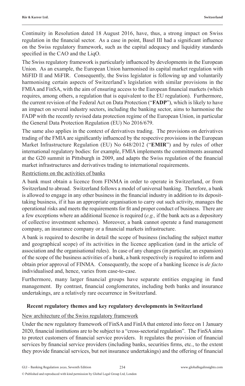Continuity in Resolution dated 18 August 2016, have, thus, a strong impact on Swiss regulation in the financial sector. As a case in point, Basel III had a significant influence on the Swiss regulatory framework, such as the capital adequacy and liquidity standards specified in the CAO and the LiqO.

The Swiss regulatory framework is particularly influenced by developments in the European Union. As an example, the European Union harmonised its capital market regulation with MiFID II and MiFIR. Consequently, the Swiss legislator is following up and voluntarily harmonising certain aspects of Switzerland's legislation with similar provisions in the FMIA and FinSA, with the aim of ensuring access to the European financial markets (which requires, among others, a regulation that is equivalent to the EU regulation). Furthermore, the current revision of the Federal Act on Data Protection ("**FADP**"), which is likely to have an impact on several industry sectors, including the banking sector, aims to harmonise the FADP with the recently revised data protection regime of the European Union, in particular the General Data Protection Regulation (EU) No 2016/679.

The same also applies in the context of derivatives trading. The provisions on derivatives trading of the FMIA are significantly influenced by the respective provisions in the European Market Infrastructure Regulation (EU) No 648/2012 ("**EMIR**") and by rules of other international regulatory bodies: for example, FMIA implements the commitments assumed at the G20 summit in Pittsburgh in 2009, and adapts the Swiss regulation of the financial market infrastructures and derivatives trading to international requirements.

#### Restrictions on the activities of banks

A bank must obtain a licence from FINMA in order to operate in Switzerland, or from Switzerland to abroad. Switzerland follows a model of universal banking. Therefore, a bank is allowed to engage in any other business in the financial industry in addition to its deposittaking business, if it has an appropriate organisation to carry out such activity, manages the operational risks and meets the requirements for fit and proper conduct of business. There are a few exceptions where an additional licence is required (*e.g.,* if the bank acts as a depository of collective investment schemes). Moreover, a bank cannot operate a fund management company, an insurance company or a financial markets infrastructure.

A bank is required to describe in detail the scope of business (including the subject matter and geographical scope) of its activities in the licence application (and in the article of association and the organisational rules). In case of any changes (in particular, an expansion) of the scope of the business activities of a bank, a bank respectively is required to inform and obtain prior approval of FINMA. Consequently, the scope of a banking licence is *de facto* individualised and, hence, varies from case-to-case.

Furthermore, many larger financial groups have separate entities engaging in fund management. By contrast, financial conglomerates, including both banks and insurance undertakings, are a relatively rare occurrence in Switzerland.

#### **Recent regulatory themes and key regulatory developments in Switzerland**

#### New architecture of the Swiss regulatory framework

Under the new regulatory framework of FinSA and FinIA that entered into force on 1 January 2020, financial institutions are to be subject to a "cross-sectorial regulation". The FinSA aims to protect customers of financial service providers. It regulates the provision of financial services by financial service providers (including banks, securities firms, etc., to the extent they provide financial services, but not insurance undertakings) and the offering of financial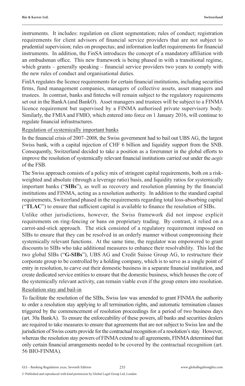instruments. It includes: regulation on client segmentation; rules of conduct; registration requirements for client advisors of financial service providers that are not subject to prudential supervision; rules on prospectus; and information leaflet requirements for financial instruments. In addition, the FinSA introduces the concept of a mandatory affiliation with an ombudsman office. This new framework is being phased in with a transitional regime, which grants – generally speaking – financial service providers two years to comply with the new rules of conduct and organisational duties.

FinIA regulates the licence requirements for certain financial institutions, including securities firms, fund management companies, managers of collective assets, asset managers and trustees. In contrast, banks and fintechs will remain subject to the regulatory requirements set out in the BankA (and BankO). Asset managers and trustees will be subject to a FINMA licence requirement but supervised by a FINMA authorised private supervisory body. Similarly, the FMIA and FMIO, which entered into force on 1 January 2016, will continue to regulate financial infrastructures.

Regulation of systemically important banks

In the financial crisis of 2007–2008, the Swiss government had to bail out UBS AG, the largest Swiss bank, with a capital injection of CHF 6 billion and liquidity support from the SNB. Consequently, Switzerland decided to take a position as a forerunner in the global efforts to improve the resolution of systemically relevant financial institutions carried out under the *aegis* of the FSB.

The Swiss approach consists of a policy mix of stringent capital requirements, both on a riskweighted and absolute (through a leverage ratio) basis, and liquidity ratios for systemically important banks ("**SIBs**"), as well as recovery and resolution planning by the financial institutions and FINMA, acting as a resolution authority. In addition to the standard capital requirements, Switzerland phased in the requirements regarding total loss-absorbing capital ("**TLAC**") to ensure that sufficient capital is available to finance the resolution of SIBs.

Unlike other jurisdictions, however, the Swiss framework did not impose explicit requirements on ring-fencing or bans on proprietary trading. By contrast, it relied on a carrot-and-stick approach. The stick consisted of a regulatory requirement imposed on SIBs to ensure that they can be resolved in an orderly manner without compromising their systemically relevant functions. At the same time, the regulator was empowered to grant discounts to SIBs who take additional measures to enhance their resolvability. This led the two global SIBs ("**G-SIBs**"), UBS AG and Credit Suisse Group AG, to restructure their corporate group to be controlled by a holding company, which is to serve as a single point of entry in resolution, to carve out their domestic business in a separate financial institution, and create dedicated service entities to ensure that the domestic business, which houses the core of the systemically relevant activity, can remain viable even if the group enters into resolution.

#### Resolution stay and bail-in

To facilitate the resolution of the SIBs, Swiss law was amended to grant FINMA the authority to order a resolution stay applying to all termination rights, and automatic termination clauses triggered by the commencement of resolution proceedings for a period of two business days (art. 30a BankA). To ensure the enforceability of these powers, all banks and securities dealers are required to take measures to ensure that agreements that are not subject to Swiss law and the jurisdiction of Swiss courts provide for the contractual recognition of a resolution's stay. However, whereas the resolution stay powers of FINMA extend to all agreements, FINMA determined that only certain financial arrangements needed to be covered by the contractual recognition (art. 56 BIO-FINMA).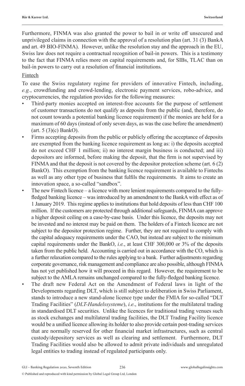Furthermore, FINMA was also granted the power to bail in or write off unsecured and unprivileged claims in connection with the approval of a resolution plan (art. 31 (3) BankA and art. 49 BIO-FINMA). However, unlike the resolution stay and the approach in the EU, Swiss law does not require a contractual recognition of bail-in powers. This is a testimony to the fact that FINMA relies more on capital requirements and, for SIBs, TLAC than on bail-in powers to carry out a resolution of financial institutions.

#### Fintech

To ease the Swiss regulatory regime for providers of innovative Fintech, including, *e.g.*, crowdfunding and crowd-lending, electronic payment services, robo-advice, and cryptocurrencies, the regulation provides for the following measures:

- Third-party monies accepted on interest-free accounts for the purpose of settlement of customer transactions do not qualify as deposits from the public (and, therefore, do not count towards a potential banking licence requirement) if the monies are held for a maximum of 60 days (instead of only seven days, as was the case before the amendment) (art. 5 (3)(c) BankO).
- Firms accepting deposits from the public or publicly offering the acceptance of deposits are exempted from the banking licence requirement as long as: i) the deposits accepted do not exceed CHF 1 million; ii) no interest margin business is conducted; and iii) depositors are informed, before making the deposit, that the firm is not supervised by FINMA and that the deposit is not covered by the depositor protection scheme (art. 6 (2) BankO). This exemption from the banking licence requirement is available to Fintechs as well as any other type of business that fulfils the requirements. It aims to create an innovation space, a so-called "sandbox".
- The new Fintech licence a licence with more lenient requirements compared to the fullyfledged banking licence – was introduced by an amendment to the BankA with effect as of 1 January 2019. This regime applies to institutions that hold deposits of less than CHF 100 million. If the customers are protected through additional safeguards, FINMA can approve a higher deposit ceiling on a case-by-case basis. Under this licence, the deposits may not be invested and no interest may be paid on them. The holders of a Fintech licence are not subject to the depositor protection regime. Further, they are not required to comply with the capital adequacy requirements under the CAO, but instead are subject to the minimum capital requirements under the BankO, *i.e.*, at least CHF 300,000 or 3% of the deposits taken from the public held. Accounting is carried out in accordance with the CO, which is a further relaxation compared to the rules applying to a bank. Further adjustments regarding corporate governance, risk management and compliance are also possible, although FINMA has not yet published how it will proceed in this regard. However, the requirement to be subject to the AMLA remains unchanged compared to the fully-fledged banking licence.
	- The draft new Federal Act on the Amendment of Federal laws in light of the Developments regarding DLT, which is still subject to deliberation in Swiss Parliament, stands to introduce a new stand-alone licence type under the FMIA for so-called "DLT Trading Facilities" (*DLT-Handelssysteme*), *i.e*., institutions for the multilateral trading in standardised DLT securities. Unlike the licences for traditional trading venues such as stock exchanges and multilateral trading facilities, the DLT Trading Facility licence would be a unified licence allowing its holder to also provide certain post-trading services that are normally reserved for other financial market infrastructures, such as central custody/depository services as well as clearing and settlement. Furthermore, DLT Trading Facilities would also be allowed to admit private individuals and unregulated legal entities to trading instead of regulated participants only.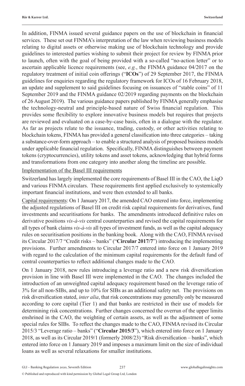In addition, FINMA issued several guidance papers on the use of blockchain in financial services. These set out FINMA's interpretation of the law when reviewing business models relating to digital assets or otherwise making use of blockchain technology and provide guidelines to interested parties wishing to submit their project for review by FINMA prior to launch, often with the goal of being provided with a so-called "no-action letter" or to ascertain applicable licence requirements (see, *e.g.*, the FINMA guidance 04/2017 on the regulatory treatment of initial coin offerings ("**ICOs**") of 29 September 2017, the FINMA guidelines for enquiries regarding the regulatory framework for ICOs of 16 February 2018, an update and supplement to said guidelines focusing on issuances of "stable coins" of 11 September 2019 and the FINMA guidance 02/2019 regarding payments on the blockchain of 26 August 2019). The various guidance papers published by FINMA generally emphasise the technology-neutral and principle-based nature of Swiss financial regulation. This provides some flexibility to explore innovative business models but requires that projects are reviewed and evaluated on a case-by-case basis, often in a dialogue with the regulator. As far as projects relate to the issuance, trading, custody, or other activities relating to blockchain tokens, FINMA has provided a general classification into three categories – taking a substance-over-form approach – to enable a structured analysis of proposed business models under applicable financial regulation. Specifically, FINMA distinguishes between payment tokens (cryptocurrencies), utility tokens and asset tokens, acknowledging that hybrid forms and transformations from one category into another along the timeline are possible.

#### Implementation of the Basel III requirements

Switzerland has largely implemented the core requirements of Basel III in the CAO, the LiqO and various FINMA circulars. These requirements first applied exclusively to systemically important financial institutions, and were then extended to all banks.

Capital requirements: On 1 January 2017, the amended CAO entered into force, implementing the adjusted regulations of Basel III on credit risk capital requirements for derivatives, fund investments and securitisations for banks. The amendments introduced definitive rules on derivative positions *vis-à-vis* central counterparties and revised the capital requirements for all types of bank claims *vis-à-vis* all types of investment funds, as well as the capital adequacy rules on securitisation positions in the banking book. Along with the CAO, FINMA revised its Circular 2017/7 "Credit risks – banks" ("**Circular 2017/7**") introducing the implementing provisions. Further amendments to Circular 2017/7 entered into force on 1 January 2019 with regard to the calculation of the minimum capital requirements for the default fund of central counterparties to reflect additional changes made to the CAO.

On 1 January 2018, new rules introducing a leverage ratio and a new risk diversification provision in line with Basel III were implemented in the CAO. The changes included the introduction of an unweighted capital adequacy requirement based on the leverage ratio of 3% for all non-SIBs, and up to 10% for SIBs as an additional safety net. The provisions on risk diversification stated, *inter alia*, that risk concentrations may generally only be measured according to core capital (Tier 1) and that banks are restricted in their use of models for determining risk concentrations. Further changes concerned the overrun of the upper limits enshrined in the CAO, the weighting of certain assets, as well as the adjustment of some special rules for SIBs. To reflect the changes made to the CAO, FINMA revised its Circular 2015/3 "Leverage ratio – banks" ("**Circular 2015/3**"), which entered into force on 1 January 2018, as well as its Circular 2019/1 (formerly 2008/23) "Risk diversification – banks", which entered into force on 1 January 2019 and imposes a maximum limit on the size of individual loans as well as several relaxations for smaller institutions.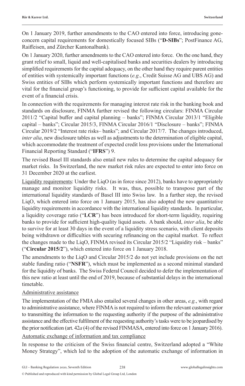On 1 January 2019, further amendments to the CAO entered into force, introducing goneconcern capital requirements for domestically focused SIBs ("**D-SIBs**"; PostFinance AG, Raiffeisen, and Zürcher Kantonalbank).

On 1 January 2020, further amendments to the CAO entered into force. On the one hand, they grant relief to small, liquid and well-capitalised banks and securities dealers by introducing simplified requirements for the capital adequacy, on the other hand they require parent entities of entities with systemically important functions (*e.g*., Credit Suisse AG and UBS AG) and Swiss entities of SIBs which perform systemically important functions and therefore are vital for the financial group's functioning, to provide for sufficient capital available for the event of a financial crisis.

In connection with the requirements for managing interest rate risk in the banking book and standards on disclosure, FINMA further revised the following circulars: FINMA Circular 2011/2 "Capital buffer and capital planning – banks"; FINMA Circular 2013/1 "Eligible capital – banks"; Circular 2015/3, FINMA Circular 2016/1 "Disclosure – banks"; FINMA Circular 2019/2 "Interest rate risks– banks"; and Circular 2017/7. The changes introduced, *inter alia*, new disclosure tables as well as adjustments to the determination of eligible capital, which accommodate the treatment of expected credit loss provisions under the International Financial Reporting Standard ("**IFRS**") 9.

The revised Basel III standards also entail new rules to determine the capital adequacy for market risks. In Switzerland, the new market risk rules are expected to enter into force on 31 December 2020 at the earliest.

Liquidity requirements: Under the LiqO (as in force since 2012), banks have to appropriately manage and monitor liquidity risks. It was, thus, possible to transpose part of the international liquidity standards of Basel III into Swiss law. In a further step, the revised LiqO, which entered into force on 1 January 2015, has also adopted the new quantitative liquidity requirements in accordance with the international liquidity standards. In particular, a liquidity coverage ratio ("**LCR**") has been introduced for short-term liquidity, requiring banks to provide for sufficient high-quality liquid assets. A bank should, *inter alia*, be able to survive for at least 30 days in the event of a liquidity stress scenario, with client deposits being withdrawn or difficulties with securing refinancing on the capital market. To reflect the changes made to the LiqO, FINMA revised its Circular 2015/2 "Liquidity risk – banks" ("**Circular 2015/2**"), which entered into force on 1 January 2018.

The amendments to the LiqO and Circular 2015/2 do not yet include provisions on the net stable funding ratio ("**NSFR**"), which must be implemented as a second minimal standard for the liquidity of banks. The Swiss Federal Council decided to defer the implementation of this new ratio at least until the end of 2019, because of substantial delays in the international timetable.

#### Administrative assistance

The implementation of the FMIA also entailed several changes in other areas, *e.g.*, with regard to administrative assistance, where FINMA is not required to inform the relevant customer prior to transmitting the information to the requesting authority if the purpose of the administrative assistance and the effective fulfilment of the requesting authority's tasks were to be jeopardised by the prior notification (art. 42*a* (4) of the revised FINMASA, entered into force on 1 January 2016).

#### Automatic exchange of information and tax compliance

In response to the criticism of the Swiss financial centre, Switzerland adopted a "White Money Strategy", which led to the adoption of the automatic exchange of information in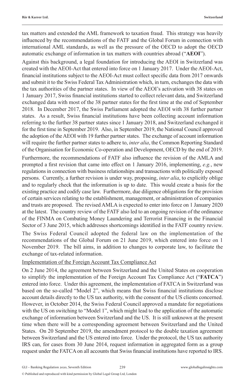tax matters and extended the AML framework to taxation fraud. This strategy was heavily influenced by the recommendations of the FATF and the Global Forum in connection with international AML standards, as well as the pressure of the OECD to adopt the OECD automatic exchange of information in tax matters with countries abroad ("**AEOI**").

Against this background, a legal foundation for introducing the AEOI in Switzerland was created with the AEOI-Act that entered into force on 1 January 2017. Under the AEOI-Act, financial institutions subject to the AEOI-Act must collect specific data from 2017 onwards and submit it to the Swiss Federal Tax Administration which, in turn, exchanges the data with the tax authorities of the partner states. In view of the AEOI's activation with 38 states on 1 January 2017, Swiss financial institutions started to collect relevant data, and Switzerland exchanged data with most of the 38 partner states for the first time at the end of September 2018. In December 2017, the Swiss Parliament adopted the AEOI with 38 further partner states. As a result, Swiss financial institutions have been collecting account information referring to the further 38 partner states since 1 January 2018, and Switzerland exchanged it for the first time in September 2019. Also, in September 2019, the National Council approved the adoption of the AEOI with 19 further partner states. The exchange of account information will require the further partner states to adhere to, *inter alia*, the Common Reporting Standard of the Organisation for Economic Co-operation and Development, OECD by the end of 2019.

Furthermore, the recommendations of FATF also influence the revision of the AMLA and prompted a first revision that came into effect on 1 January 2016, implementing, *e.g.*, new regulations in connection with business relationships and transactions with politically exposed persons. Currently, a further revision is under way, proposing, *inter alia*, to explicitly oblige and to regularly check that the information is up to date. This would create a basis for the existing practice and codify case law. Furthermore, due diligence obligations for the provision of certain services relating to the establishment, management, or administration of companies and trusts are proposed. The revised AMLA is expected to enter into force on 1 January 2020 at the latest. The country review of the FATF also led to an ongoing revision of the ordinance of the FINMA on Combating Money Laundering and Terrorist Financing in the Financial Sector of 3 June 2015, which addresses shortcomings identified in the FATF country review.

The Swiss Federal Council adopted the federal law on the implementation of the recommendations of the Global Forum on 21 June 2019, which entered into force on 1 November 2019. The bill aims, in addition to changes to corporate law, to facilitate the exchange of tax-related information.

#### Implementation of the Foreign Account Tax Compliance Act

On 2 June 2014, the agreement between Switzerland and the United States on cooperation to simplify the implementation of the Foreign Account Tax Compliance Act ("**FATCA**") entered into force. Under this agreement, the implementation of FATCA in Switzerland was based on the so-called "Model 2", which means that Swiss financial institutions disclose account details directly to the US tax authority, with the consent of the US clients concerned. However, in October 2014, the Swiss Federal Council approved a mandate for negotiations with the US on switching to "Model 1", which might lead to the application of the automatic exchange of information between Switzerland and the US. It is still unknown at the present time when there will be a corresponding agreement between Switzerland and the United States. On 20 September 2019, the amendment protocol to the double taxation agreement between Switzerland and the US entered into force. Under the protocol, the US tax authority IRS can, for cases from 30 June 2014, request information in aggregated form as a group request under the FATCA on all accounts that Swiss financial institutions have reported to IRS.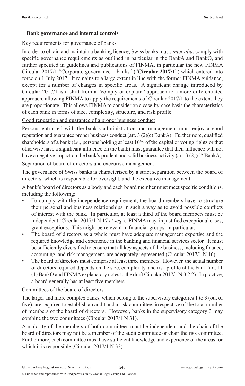#### **Bank governance and internal controls**

#### Key requirements for governance of banks

In order to obtain and maintain a banking licence, Swiss banks must, *inter alia*, comply with specific governance requirements as outlined in particular in the BankA and BankO, and further specified in guidelines and publications of FINMA, in particular the new FINMA Circular 2017/1 "Corporate governance – banks" ("**Circular 2017/1**") which entered into force on 1 July 2017. It remains to a large extent in line with the former FINMA guidance, except for a number of changes in specific areas. A significant change introduced by Circular 2017/1 is a shift from a "comply or explain" approach to a more differentiated approach, allowing FINMA to apply the requirements of Circular 2017/1 to the extent they are proportionate. This allows FINMA to consider on a case-by-case basis the characteristics of each bank in terms of size, complexity, structure, and risk profile.

#### Good reputation and guarantee of a proper business conduct

Persons entrusted with the bank's administration and management must enjoy a good reputation and guarantee proper business conduct (art. 3 (2)(c) BankA). Furthermore, qualified shareholders of a bank (*i.e.*, persons holding at least 10% of the capital or voting rights or that otherwise have a significant influence on the bank) must guarantee that their influence will not have a negative impact on the bank's prudent and solid business activity (art. 3 (2)( $c<sup>bis</sup> BankA$ ).

#### Separation of board of directors and executive management

The governance of Swiss banks is characterised by a strict separation between the board of directors, which is responsible for oversight, and the executive management.

A bank's board of directors as a body and each board member must meet specific conditions, including the following:

- To comply with the independence requirement, the board members have to structure their personal and business relationships in such a way as to avoid possible conflicts of interest with the bank. In particular, at least a third of the board members must be independent (Circular 2017/1 N 17 *et seq.*). FINMA may, in justified exceptional cases, grant exceptions. This might be relevant in financial groups, in particular.
- The board of directors as a whole must have adequate management expertise and the required knowledge and experience in the banking and financial services sector. It must be sufficiently diversified to ensure that all key aspects of the business, including finance, accounting, and risk management, are adequately represented (Circular 2017/1 N 16).
- The board of directors must comprise at least three members. However, the actual number of directors required depends on the size, complexity, and risk profile of the bank (art. 11 (1) BankO and FINMA explanatory notes to the draft Circular 2017/1 N 3.2.2). In practice, a board generally has at least five members.

#### Committees of the board of directors

The larger and more complex banks, which belong to the supervisory categories 1 to 3 (out of five), are required to establish an audit and a risk committee, irrespective of the total number of members of the board of directors. However, banks in the supervisory category 3 may combine the two committees (Circular 2017/1 N 31).

A majority of the members of both committees must be independent and the chair of the board of directors may not be a member of the audit committee or chair the risk committee. Furthermore, each committee must have sufficient knowledge and experience of the areas for which it is responsible (Circular 2017/1 N 33).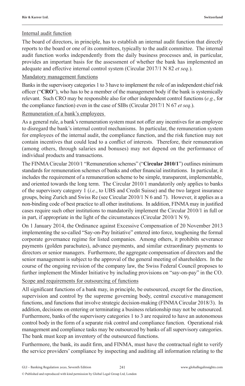#### Internal audit function

The board of directors, in principle, has to establish an internal audit function that directly reports to the board or one of its committees, typically to the audit committee. The internal audit function works independently from the daily business processes and, in particular, provides an important basis for the assessment of whether the bank has implemented an adequate and effective internal control system (Circular 2017/1 N 82 *et seq.*).

#### Mandatory management functions

Banks in the supervisory categories 1 to 3 have to implement the role of an independent chief risk officer ("**CRO**"), who has to be a member of the management body if the bank is systemically relevant. Such CRO may be responsible also for other independent control functions (*e.g.*, for the compliance function) even in the case of SIBs (Circular 2017/1 N 67 *et seq*.).

#### Remuneration of a bank's employees

As a general rule, a bank's remuneration system must not offer any incentives for an employee to disregard the bank's internal control mechanisms. In particular, the remuneration system for employees of the internal audit, the compliance function, and the risk function may not contain incentives that could lead to a conflict of interests. Therefore, their remuneration (among others, through salaries and bonuses) may not depend on the performance of individual products and transactions.

The FINMA Circular 2010/1 "Remuneration schemes" ("**Circular 2010/1**") outlines minimum standards for remuneration schemes of banks and other financial institutions. In particular, it includes the requirement of a remuneration scheme to be simple, transparent, implementable, and oriented towards the long term. The Circular 2010/1 mandatorily only applies to banks of the supervisory category 1 (*i.e.*, to UBS and Credit Suisse) and the two largest insurance groups, being Zurich and Swiss Re (see Circular 2010/1 N 6 and 7). However, it applies as a non-binding code of best practice to all other institutions. In addition, FINMA may in justified cases require such other institutions to mandatorily implement the Circular 2010/1 in full or in part, if appropriate in the light of the circumstances (Circular 2010/1 N 9).

On 1 January 2014, the Ordinance against Excessive Compensation of 20 November 2013 implementing the so-called "Say-on-Pay Initiative" entered into force, toughening the formal corporate governance regime for listed companies. Among others, it prohibits severance payments (golden parachutes), advance payments, and similar extraordinary payments to directors or senior managers. Furthermore, the aggregate compensation of directors and the senior management is subject to the approval of the general meeting of shareholders. In the course of the ongoing revision of the company law, the Swiss Federal Council proposes to further implement the Minder Initiative by including provisions on "say-on-pay" in the CO.

#### Scope and requirements for outsourcing of functions

All significant functions of a bank may, in principle, be outsourced, except for the direction, supervision and control by the supreme governing body, central executive management functions, and functions that involve strategic decision-making (FINMA Circular 2018/3). In addition, decisions on entering or terminating a business relationship may not be outsourced. Furthermore, banks of the supervisory categories 1 to 3 are required to have an autonomous control body in the form of a separate risk control and compliance function. Operational risk management and compliance tasks may be outsourced by banks of all supervisory categories. The bank must keep an inventory of the outsourced functions.

Furthermore, the bank, its audit firm, and FINMA, must have the contractual right to verify the service providers' compliance by inspecting and auditing all information relating to the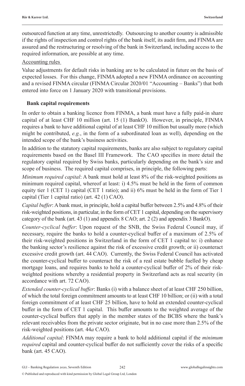outsourced function at any time, unrestrictedly. Outsourcing to another country is admissible if the rights of inspection and control rights of the bank itself, its audit firm, and FINMA are assured and the restructuring or resolving of the bank in Switzerland, including access to the required information, are possible at any time.

#### Accounting rules

Value adjustments for default risks in banking are to be calculated in future on the basis of expected losses. For this change, FINMA adopted a new FINMA ordinance on accounting and a revised FINMA circular (FINMA Circular 2020/01 "Accounting – Banks") that both entered into force on 1 January 2020 with transitional provisions.

#### **Bank capital requirements**

In order to obtain a banking licence from FINMA, a bank must have a fully paid-in share capital of at least CHF 10 million (art. 15 (1) BankO). However, in principle, FINMA requires a bank to have additional capital of at least CHF 10 million but usually more (which might be contributed, *e.g.*, in the form of a subordinated loan as well), depending on the intended scope of the bank's business activities.

In addition to the statutory capital requirements, banks are also subject to regulatory capital requirements based on the Basel III Framework. The CAO specifies in more detail the regulatory capital required by Swiss banks, particularly depending on the bank's size and scope of business. The required capital comprises, in principle, the following parts:

*Minimum required capital*: A bank must hold at least 8% of the risk-weighted positions as minimum required capital, whereof at least: i) 4.5% must be held in the form of common equity tier 1 (CET 1) capital (CET 1 ratio); and ii) 6% must be held in the form of Tier 1 capital (Tier 1 capital ratio) (art. 42 (1) CAO).

*Capital buffer*: A bank must, in principle, hold a capital buffer between 2.5% and 4.8% of their risk-weighted positions, in particular, in the form of CET 1 capital, depending on the supervisory category of the bank (art. 43 (1) and appendix 8 CAO; art. 2 (2) and appendix 3 BankO).

*Counter-cyclical buffer*: Upon request of the SNB, the Swiss Federal Council may, if necessary, require the banks to hold a counter-cyclical buffer of a maximum of 2.5% of their risk-weighted positions in Switzerland in the form of CET 1 capital to: i) enhance the banking sector's resilience against the risk of excessive credit growth; or ii) counteract excessive credit growth (art. 44 CAO). Currently, the Swiss Federal Council has activated the counter-cyclical buffer to counteract the risk of a real estate bubble fuelled by cheap mortgage loans, and requires banks to hold a counter-cyclical buffer of 2% of their riskweighted positions whereby a residential property in Switzerland acts as real security (in accordance with art. 72 CAO).

*Extended counter-cyclical buffer*: Banks (i) with a balance sheet of at least CHF 250 billion, of which the total foreign commitment amounts to at least CHF 10 billion; or (ii) with a total foreign commitment of at least CHF 25 billion, have to hold an extended counter-cyclical buffer in the form of CET 1 capital. This buffer amounts to the weighted average of the counter-cyclical buffers that apply in the member states of the BCBS where the bank's relevant receivables from the private sector originate, but in no case more than 2.5% of the risk-weighted positions (art. 44*a* CAO).

*Additional capital*: FINMA may require a bank to hold additional capital if the *minimum required* capital and counter-cyclical buffer do not sufficiently cover the risks of a specific bank (art. 45 CAO).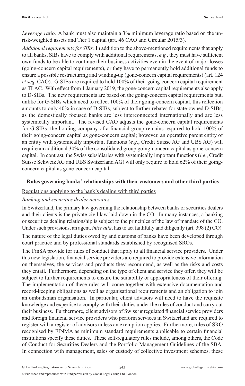*Leverage ratio:* A bank must also maintain a 3% minimum leverage ratio based on the unrisk-weighted assets and Tier 1 capital (art. 46 CAO and Circular 2015/3).

*Additional requirements for SIBs:* In addition to the above-mentioned requirements that apply to all banks, SIBs have to comply with additional requirements, *e.g.*, they must have sufficient own funds to be able to continue their business activities even in the event of major losses (going-concern capital requirements), or they have to permanently hold additional funds to ensure a possible restructuring and winding-up (gone-concern capital requirements) (art. 124 *et seq*. CAO). G-SIBs are required to hold 100% of their going-concern capital requirement as TLAC. With effect from 1 January 2019, the gone-concern capital requirements also apply to D-SIBs. The new requirements are based on the going-concern capital requirements but, unlike for G-SIBs which need to reflect 100% of their going-concern capital, this reflection amounts to only 40% in case of D-SIBs, subject to further rebates for state-owned D-SIBs, as the domestically focused banks are less interconnected internationally and are less systemically important. The revised CAO adjusts the gone-concern capital requirements for G-SIBs: the holding company of a financial group remains required to hold 100% of their going-concern capital as gone-concern capital; however, an operative parent entity of an entity with systemically important functions (*e.g*., Credit Suisse AG and UBS AG) will require an additional 30% of the consolidated group going-concern capital as gone-concern capital. In contrast, the Swiss subsidiaries with systemically important functions (*i.e*., Credit Suisse Schweiz AG and UBS Switzerland AG) will only require to hold 62% of their goingconcern capital as gone-concern capital.

#### **Rules governing banks' relationships with their customers and other third parties**

#### Regulations applying to the bank's dealing with third parties

#### *Banking and securities dealer activities*

In Switzerland, the primary law governing the relationship between banks or securities dealers and their clients is the private civil law laid down in the CO. In many instances, a banking or securities dealing relationship is subject to the principles of the law of mandate of the CO. Under such provisions, an agent, *inter alia*, has to act faithfully and diligently (art. 398 (2) CO).

The nature of the legal duties owed by and customs of banks have been developed through court practice and by professional standards established by recognised SROs.

The FinSA provide for rules of conduct that apply to all financial service providers. Under this new legislation, financial service providers are required to provide extensive information on themselves, the services and products they recommend, as well as the risks and costs they entail. Furthermore, depending on the type of client and service they offer, they will be subject to further requirements to ensure the suitability or appropriateness of their offering. The implementation of these rules will come together with extensive documentation and record-keeping obligations as well as organisational requirements and an obligation to join an ombudsman organisation. In particular, client advisors will need to have the requisite knowledge and expertise to comply with their duties under the rules of conduct and carry out their business. Furthermore, client advisors of Swiss unregulated financial service providers and foreign financial service providers who perform services in Switzerland are required to register with a register of advisors unless an exemption applies. Furthermore, rules of SRO recognised by FINMA as minimum standard requirements applicable to certain financial institutions specify these duties. These self-regulatory rules include, among others, the Code of Conduct for Securities Dealers and the Portfolio Management Guidelines of the SBA. In connection with management, sales or custody of collective investment schemes, these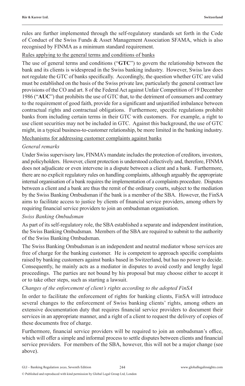rules are further implemented through the self-regulatory standards set forth in the Code of Conduct of the Swiss Funds & Asset Management Association SFAMA, which is also recognised by FINMA as a minimum standard requirement.

#### Rules applying to the general terms and conditions of banks

The use of general terms and conditions ("**GTC**") to govern the relationship between the bank and its clients is widespread in the Swiss banking industry. However, Swiss law does not regulate the GTC of banks specifically. Accordingly, the question whether GTC are valid must be established on the basis of the Swiss private law, particularly the general contract law provisions of the CO and art. 8 of the Federal Act against Unfair Competition of 19 December 1986 ("**AUC**") that prohibits the use of GTC that, to the detriment of consumers and contrary to the requirement of good faith, provide for a significant and unjustified imbalance between contractual rights and contractual obligations. Furthermore, specific regulations prohibit banks from including certain terms in their GTC with customers. For example, a right to use client securities may not be included in GTC. Against this background, the use of GTC might, in a typical business-to-customer relationship, be more limited in the banking industry.

#### Mechanisms for addressing customer complaints against banks

#### *General remarks*

Under Swiss supervisory law, FINMA's mandate includes the protection of creditors, investors, and policyholders. However, client protection is understood collectively and, therefore, FINMA does not adjudicate or even intervene in a dispute between a client and a bank. Furthermore, there are no explicit regulatory rules on handling complaints, although arguably the appropriate internal organisation of a bank requires the implementation of a complaints procedure. Disputes between a client and a bank are thus the remit of the ordinary courts, subject to the mediation by the Swiss Banking Ombudsman if the bank is a member of the SBA. However, the FinSA aims to facilitate access to justice by clients of financial service providers, among others by requiring financial service providers to join an ombudsman organisation.

#### *Swiss Banking Ombudsman*

As part of its self-regulatory role, the SBA established a separate and independent institution, the Swiss Banking Ombudsman. Members of the SBA are required to submit to the authority of the Swiss Banking Ombudsman.

The Swiss Banking Ombudsman is an independent and neutral mediator whose services are free of charge for the banking customer. He is competent to approach specific complaints raised by banking customers against banks based in Switzerland, but has no power to decide. Consequently, he mainly acts as a mediator in disputes to avoid costly and lengthy legal proceedings. The parties are not bound by his proposal but may choose either to accept it or to take other steps, such as starting a lawsuit.

#### *Changes of the enforcement of client's rights according to the adopted FinSA*

In order to facilitate the enforcement of rights for banking clients, FinSA will introduce several changes to the enforcement of Swiss banking clients' rights, among others an extensive documentation duty that requires financial service providers to document their services in an appropriate manner, and a right of a client to request the delivery of copies of these documents free of charge.

Furthermore, financial service providers will be required to join an ombudsman's office, which will offer a simple and informal process to settle disputes between clients and financial service providers. For members of the SBA, however, this will not be a major change (see above).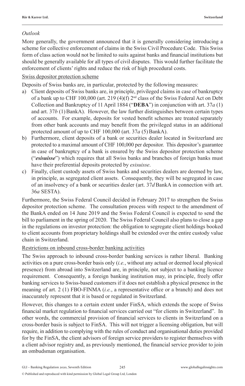#### *Outlook*

More generally, the government announced that it is generally considering introducing a scheme for collective enforcement of claims in the Swiss Civil Procedure Code. This Swiss form of class action would not be limited to suits against banks and financial institutions but should be generally available for all types of civil disputes. This would further facilitate the enforcement of clients' rights and reduce the risk of high procedural costs.

#### Swiss depositor protection scheme

Deposits of Swiss banks are, in particular, protected by the following measures:

- a) Client deposits of Swiss banks are, in principle, privileged claims in case of bankruptcy of a bank up to CHF 100,000 (art. 219 (4)(f) 2nd class of the Swiss Federal Act on Debt Collection and Bankruptcy of 11 April 1884 ("**DEBA**") in conjunction with art. 37*a* (1) and art.  $37b$  (1) BankA). However, the law further distinguishes between certain types of accounts. For example, deposits for vested benefit schemes are treated separately from other bank accounts and may benefit from the privileged status in an additional protected amount of up to CHF 100,000 (art. 37*a* (5) BankA).
- b) Furthermore, client deposits of a bank or securities dealer located in Switzerland are protected to a maximal amount of CHF 100,000 per depositor. This depositor's guarantee in case of bankruptcy of a bank is ensured by the Swiss depositor protection scheme ("*esisuisse*") which requires that all Swiss banks and branches of foreign banks must have their preferential deposits protected by *esisuisse*.
- c) Finally, client custody assets of Swiss banks and securities dealers are deemed by law, in principle, as segregated client assets. Consequently, they will be segregated in case of an insolvency of a bank or securities dealer (art. 37*d*BankA in connection with art. 36*a* SESTA).

Furthermore, the Swiss Federal Council decided in February 2017 to strengthen the Swiss depositor protection scheme. The consultation process with respect to the amendment of the BankA ended on 14 June 2019 and the Swiss Federal Council is expected to send the bill to parliament in the spring of 2020. The Swiss Federal Council also plans to close a gap in the regulations on investor protection: the obligation to segregate client holdings booked to client accounts from proprietary holdings shall be extended over the entire custody value chain in Switzerland.

#### Restrictions on inbound cross-border banking activities

The Swiss approach to inbound cross-border banking services is rather liberal. Banking activities on a pure cross-border basis only (*i.e.*, without any actual or deemed local physical presence) from abroad into Switzerland are, in principle, not subject to a banking licence requirement. Consequently, a foreign banking institution may, in principle, freely offer banking services to Swiss-based customers if it does not establish a physical presence in the meaning of art. 2 (1) FBO-FINMA (*i.e.*, a representative office or a branch) and does not inaccurately represent that it is based or regulated in Switzerland.

However, this changes to a certain extent under FinSA, which extends the scope of Swiss financial market regulation to financial services carried out "for clients in Switzerland". In other words, the commercial provision of financial services to clients in Switzerland on a cross-border basis is subject to FinSA. This will not trigger a licensing obligation, but will require, in addition to complying with the rules of conduct and organisational duties provided for by the FinSA, the client advisors of foreign service providers to register themselves with a client advisor registry and, as previously mentioned, the financial service provider to join an ombudsman organisation.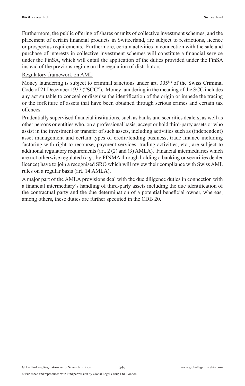Furthermore, the public offering of shares or units of collective investment schemes, and the placement of certain financial products in Switzerland, are subject to restrictions, licence or prospectus requirements. Furthermore, certain activities in connection with the sale and purchase of interests in collective investment schemes will constitute a financial service under the FinSA, which will entail the application of the duties provided under the FinSA instead of the previous regime on the regulation of distributors.

#### Regulatory framework on AML

Money laundering is subject to criminal sanctions under art. 305<sup>bis</sup> of the Swiss Criminal Code of 21 December 1937 ("**SCC**"). Money laundering in the meaning of the SCC includes any act suitable to conceal or disguise the identification of the origin or impede the tracing or the forfeiture of assets that have been obtained through serious crimes and certain tax offences.

Prudentially supervised financial institutions, such as banks and securities dealers, as well as other persons or entities who, on a professional basis, accept or hold third-party assets or who assist in the investment or transfer of such assets, including activities such as (independent) asset management and certain types of credit/lending business, trade finance including factoring with right to recourse, payment services, trading activities, etc., are subject to additional regulatory requirements (art. 2 (2) and (3) AMLA). Financial intermediaries which are not otherwise regulated (*e.g.*, by FINMA through holding a banking or securities dealer licence) have to join a recognised SRO which will review their compliance with Swiss AML rules on a regular basis (art. 14 AMLA).

A major part of the AMLA provisions deal with the due diligence duties in connection with a financial intermediary's handling of third-party assets including the due identification of the contractual party and the due determination of a potential beneficial owner, whereas, among others, these duties are further specified in the CDB 20.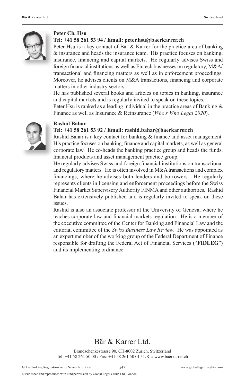

#### **Peter Ch. Hsu**

#### **Tel: +41 58 261 53 94 / Email: peter.hsu@baerkarrer.ch**

Peter Hsu is a key contact of Bär & Karrer for the practice area of banking & insurance and heads the insurance team. His practice focuses on banking, insurance, financing and capital markets. He regularly advises Swiss and foreign financial institutions as well as Fintech businesses on regulatory, M&A/ transactional and financing matters as well as in enforcement proceedings. Moreover, he advises clients on M&A transactions, financing and corporate matters in other industry sectors.

He has published several books and articles on topics in banking, insurance and capital markets and is regularly invited to speak on these topics.

Peter Hsu is ranked as a leading individual in the practice areas of Banking & Finance as well as Insurance & Reinsurance (*Who's Who Legal 2020*).



#### **Rashid Bahar**

#### **Tel: +41 58 261 53 92 / Email: rashid.bahar@baerkarrer.ch**

Rashid Bahar is a key contact for banking & finance and asset management. His practice focuses on banking, finance and capital markets, as well as general corporate law. He co-heads the banking practice group and heads the funds, financial products and asset management practice group.

He regularly advises Swiss and foreign financial institutions on transactional and regulatory matters. He is often involved in M&A transactions and complex financings, where he advises both lenders and borrowers. He regularly represents clients in licensing and enforcement proceedings before the Swiss Financial Market Supervisory Authority FINMA and other authorities. Rashid Bahar has extensively published and is regularly invited to speak on these issues.

Rashid is also an associate professor at the University of Geneva, where he teaches corporate law and financial markets regulation. He is a member of the executive committee of the Center for Banking and Financial Law and the editorial committee of the *Swiss Business Law Review*. He was appointed as an expert member of the working group of the Federal Department of Finance responsible for drafting the Federal Act of Financial Services ("**FIDLEG**") and its implementing ordinance.

### Bär & Karrer Ltd.

Brandschenkestrasse 90, CH-8002 Zurich, Switzerland Tel: +41 58 261 50 00 / Fax: +41 58 261 50 01 / URL: www.baerkarrer.ch